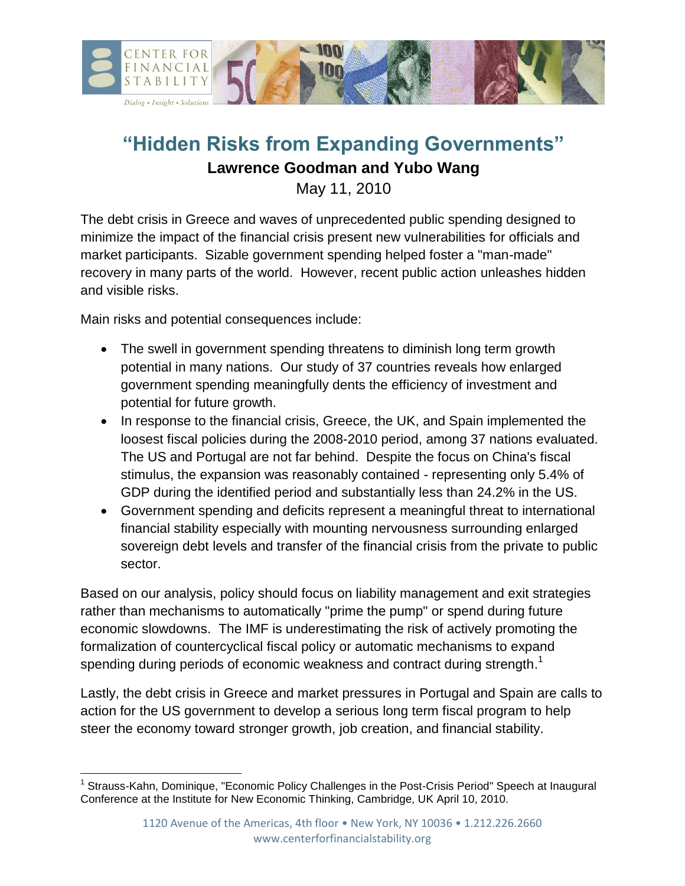

# **"Hidden Risks from Expanding Governments"**

#### **Lawrence Goodman and Yubo Wang**

May 11, 2010

The debt crisis in Greece and waves of unprecedented public spending designed to minimize the impact of the financial crisis present new vulnerabilities for officials and market participants. Sizable government spending helped foster a "man-made" recovery in many parts of the world. However, recent public action unleashes hidden and visible risks.

Main risks and potential consequences include:

- The swell in government spending threatens to diminish long term growth potential in many nations. Our study of 37 countries reveals how enlarged government spending meaningfully dents the efficiency of investment and potential for future growth.
- In response to the financial crisis, Greece, the UK, and Spain implemented the loosest fiscal policies during the 2008-2010 period, among 37 nations evaluated. The US and Portugal are not far behind. Despite the focus on China's fiscal stimulus, the expansion was reasonably contained - representing only 5.4% of GDP during the identified period and substantially less than 24.2% in the US.
- Government spending and deficits represent a meaningful threat to international financial stability especially with mounting nervousness surrounding enlarged sovereign debt levels and transfer of the financial crisis from the private to public sector.

Based on our analysis, policy should focus on liability management and exit strategies rather than mechanisms to automatically "prime the pump" or spend during future economic slowdowns. The IMF is underestimating the risk of actively promoting the formalization of countercyclical fiscal policy or automatic mechanisms to expand spending during periods of economic weakness and contract during strength.<sup>1</sup>

Lastly, the debt crisis in Greece and market pressures in Portugal and Spain are calls to action for the US government to develop a serious long term fiscal program to help steer the economy toward stronger growth, job creation, and financial stability.

 $\overline{\phantom{a}}$ <sup>1</sup> Strauss-Kahn, Dominique, "Economic Policy Challenges in the Post-Crisis Period" Speech at Inaugural Conference at the Institute for New Economic Thinking, Cambridge, UK April 10, 2010.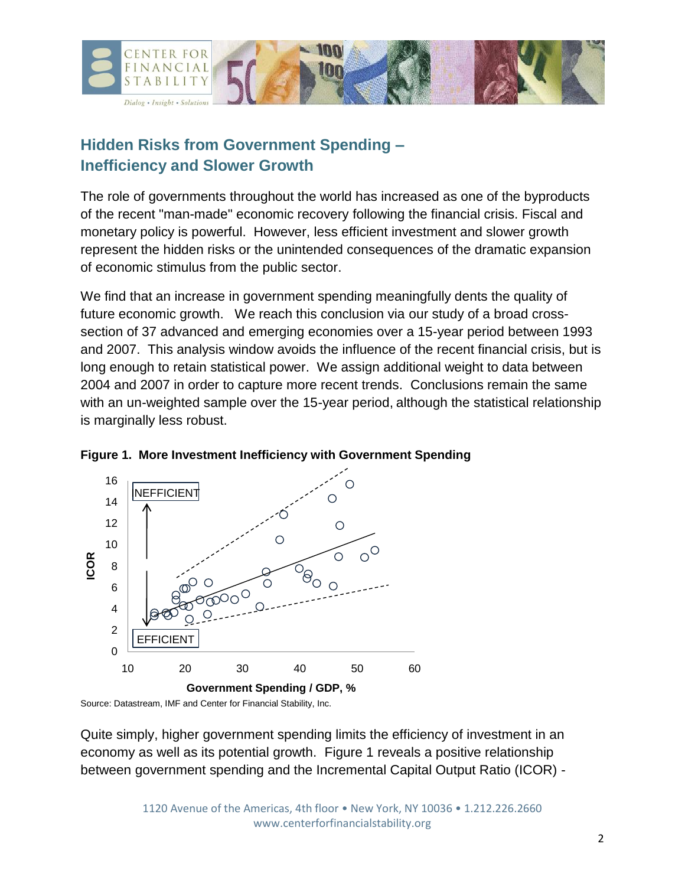

### **Hidden Risks from Government Spending – Inefficiency and Slower Growth**

The role of governments throughout the world has increased as one of the byproducts of the recent "man-made" economic recovery following the financial crisis. Fiscal and monetary policy is powerful. However, less efficient investment and slower growth represent the hidden risks or the unintended consequences of the dramatic expansion of economic stimulus from the public sector.

We find that an increase in government spending meaningfully dents the quality of future economic growth. We reach this conclusion via our study of a broad crosssection of 37 advanced and emerging economies over a 15-year period between 1993 and 2007. This analysis window avoids the influence of the recent financial crisis, but is long enough to retain statistical power. We assign additional weight to data between 2004 and 2007 in order to capture more recent trends. Conclusions remain the same with an un-weighted sample over the 15-year period, although the statistical relationship is marginally less robust.





Source: Datastream, IMF and Center for Financial Stability, Inc.

Quite simply, higher government spending limits the efficiency of investment in an economy as well as its potential growth. Figure 1 reveals a positive relationship between government spending and the Incremental Capital Output Ratio (ICOR) -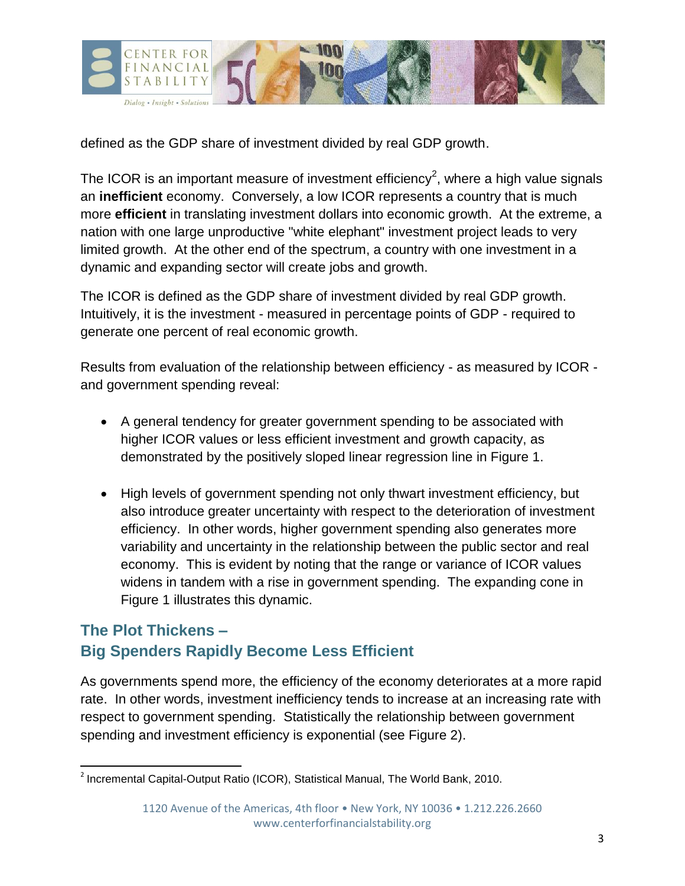

defined as the GDP share of investment divided by real GDP growth.

The ICOR is an important measure of investment efficiency<sup>2</sup>, where a high value signals an **inefficient** economy. Conversely, a low ICOR represents a country that is much more **efficient** in translating investment dollars into economic growth. At the extreme, a nation with one large unproductive "white elephant" investment project leads to very limited growth. At the other end of the spectrum, a country with one investment in a dynamic and expanding sector will create jobs and growth.

The ICOR is defined as the GDP share of investment divided by real GDP growth. Intuitively, it is the investment - measured in percentage points of GDP - required to generate one percent of real economic growth.

Results from evaluation of the relationship between efficiency - as measured by ICOR and government spending reveal:

- A general tendency for greater government spending to be associated with higher ICOR values or less efficient investment and growth capacity, as demonstrated by the positively sloped linear regression line in Figure 1.
- High levels of government spending not only thwart investment efficiency, but also introduce greater uncertainty with respect to the deterioration of investment efficiency. In other words, higher government spending also generates more variability and uncertainty in the relationship between the public sector and real economy. This is evident by noting that the range or variance of ICOR values widens in tandem with a rise in government spending. The expanding cone in Figure 1 illustrates this dynamic.

#### **The Plot Thickens – Big Spenders Rapidly Become Less Efficient**

As governments spend more, the efficiency of the economy deteriorates at a more rapid rate. In other words, investment inefficiency tends to increase at an increasing rate with respect to government spending. Statistically the relationship between government spending and investment efficiency is exponential (see Figure 2).

 2 Incremental Capital-Output Ratio (ICOR), Statistical Manual, The World Bank, 2010.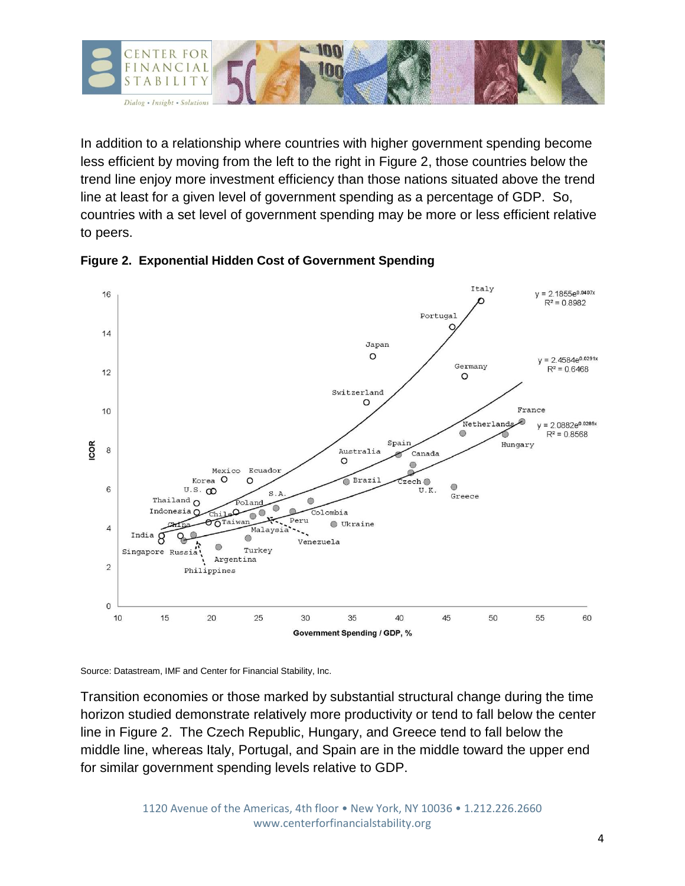

In addition to a relationship where countries with higher government spending become less efficient by moving from the left to the right in Figure 2, those countries below the trend line enjoy more investment efficiency than those nations situated above the trend line at least for a given level of government spending as a percentage of GDP. So, countries with a set level of government spending may be more or less efficient relative to peers.



#### **Figure 2. Exponential Hidden Cost of Government Spending**

Source: Datastream, IMF and Center for Financial Stability, Inc.

Transition economies or those marked by substantial structural change during the time horizon studied demonstrate relatively more productivity or tend to fall below the center line in Figure 2. The Czech Republic, Hungary, and Greece tend to fall below the middle line, whereas Italy, Portugal, and Spain are in the middle toward the upper end for similar government spending levels relative to GDP.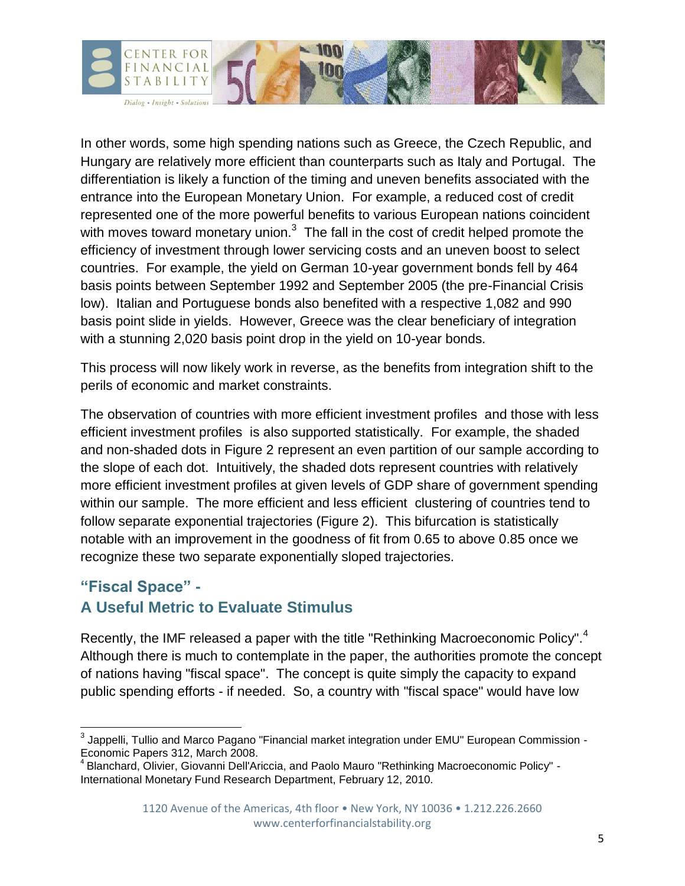

In other words, some high spending nations such as Greece, the Czech Republic, and Hungary are relatively more efficient than counterparts such as Italy and Portugal. The differentiation is likely a function of the timing and uneven benefits associated with the entrance into the European Monetary Union. For example, a reduced cost of credit represented one of the more powerful benefits to various European nations coincident with moves toward monetary union. $3$  The fall in the cost of credit helped promote the efficiency of investment through lower servicing costs and an uneven boost to select countries. For example, the yield on German 10-year government bonds fell by 464 basis points between September 1992 and September 2005 (the pre-Financial Crisis low). Italian and Portuguese bonds also benefited with a respective 1,082 and 990 basis point slide in yields. However, Greece was the clear beneficiary of integration with a stunning 2,020 basis point drop in the yield on 10-year bonds.

This process will now likely work in reverse, as the benefits from integration shift to the perils of economic and market constraints.

The observation of countries with more efficient investment profiles and those with less efficient investment profiles is also supported statistically. For example, the shaded and non-shaded dots in Figure 2 represent an even partition of our sample according to the slope of each dot. Intuitively, the shaded dots represent countries with relatively more efficient investment profiles at given levels of GDP share of government spending within our sample. The more efficient and less efficient clustering of countries tend to follow separate exponential trajectories (Figure 2). This bifurcation is statistically notable with an improvement in the goodness of fit from 0.65 to above 0.85 once we recognize these two separate exponentially sloped trajectories.

## **"Fiscal Space" - A Useful Metric to Evaluate Stimulus**

Recently, the IMF released a paper with the title "Rethinking Macroeconomic Policy".<sup>4</sup> Although there is much to contemplate in the paper, the authorities promote the concept of nations having "fiscal space". The concept is quite simply the capacity to expand public spending efforts - if needed. So, a country with "fiscal space" would have low

\_\_\_\_\_\_\_\_\_\_\_\_\_\_\_\_\_\_\_\_\_\_\_\_\_\_\_\_\_\_\_\_\_\_<br><sup>3</sup> Jappelli, Tullio and Marco Pagano "Financial market integration under EMU" European Commission -Economic Papers 312, March 2008.

<sup>&</sup>lt;sup>4</sup> Blanchard, Olivier, Giovanni Dell'Ariccia, and Paolo Mauro "Rethinking Macroeconomic Policy" -International Monetary Fund Research Department, February 12, 2010.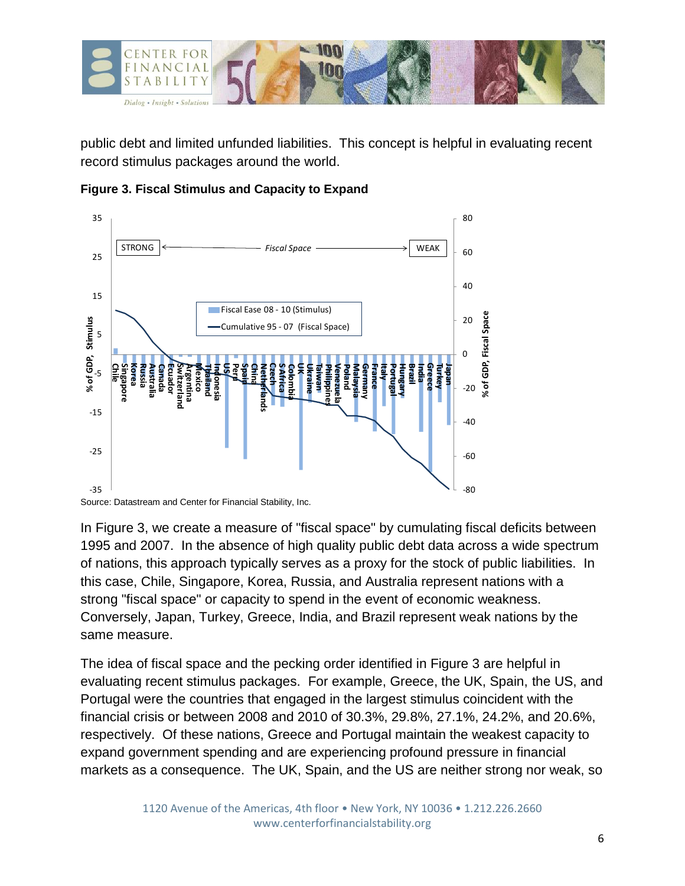

public debt and limited unfunded liabilities. This concept is helpful in evaluating recent record stimulus packages around the world.





In Figure 3, we create a measure of "fiscal space" by cumulating fiscal deficits between 1995 and 2007. In the absence of high quality public debt data across a wide spectrum of nations, this approach typically serves as a proxy for the stock of public liabilities. In this case, Chile, Singapore, Korea, Russia, and Australia represent nations with a strong "fiscal space" or capacity to spend in the event of economic weakness. Conversely, Japan, Turkey, Greece, India, and Brazil represent weak nations by the same measure.

The idea of fiscal space and the pecking order identified in Figure 3 are helpful in evaluating recent stimulus packages. For example, Greece, the UK, Spain, the US, and Portugal were the countries that engaged in the largest stimulus coincident with the financial crisis or between 2008 and 2010 of 30.3%, 29.8%, 27.1%, 24.2%, and 20.6%, respectively. Of these nations, Greece and Portugal maintain the weakest capacity to expand government spending and are experiencing profound pressure in financial markets as a consequence. The UK, Spain, and the US are neither strong nor weak, so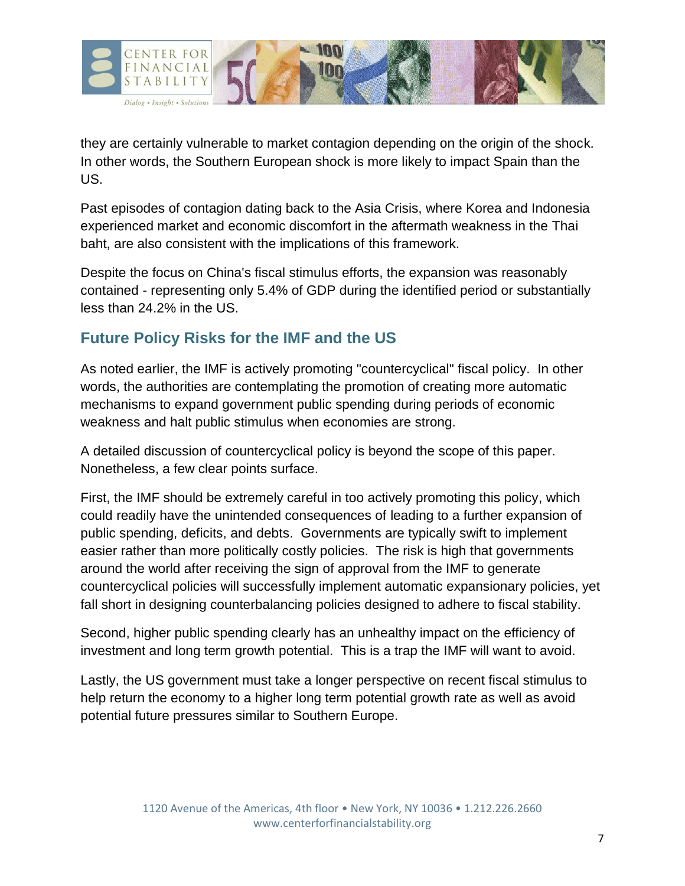

they are certainly vulnerable to market contagion depending on the origin of the shock. In other words, the Southern European shock is more likely to impact Spain than the US.

Past episodes of contagion dating back to the Asia Crisis, where Korea and Indonesia experienced market and economic discomfort in the aftermath weakness in the Thai baht, are also consistent with the implications of this framework.

Despite the focus on China's fiscal stimulus efforts, the expansion was reasonably contained - representing only 5.4% of GDP during the identified period or substantially less than 24.2% in the US.

#### **Future Policy Risks for the IMF and the US**

As noted earlier, the IMF is actively promoting "countercyclical" fiscal policy. In other words, the authorities are contemplating the promotion of creating more automatic mechanisms to expand government public spending during periods of economic weakness and halt public stimulus when economies are strong.

A detailed discussion of countercyclical policy is beyond the scope of this paper. Nonetheless, a few clear points surface.

First, the IMF should be extremely careful in too actively promoting this policy, which could readily have the unintended consequences of leading to a further expansion of public spending, deficits, and debts. Governments are typically swift to implement easier rather than more politically costly policies. The risk is high that governments around the world after receiving the sign of approval from the IMF to generate countercyclical policies will successfully implement automatic expansionary policies, yet fall short in designing counterbalancing policies designed to adhere to fiscal stability.

Second, higher public spending clearly has an unhealthy impact on the efficiency of investment and long term growth potential. This is a trap the IMF will want to avoid.

Lastly, the US government must take a longer perspective on recent fiscal stimulus to help return the economy to a higher long term potential growth rate as well as avoid potential future pressures similar to Southern Europe.